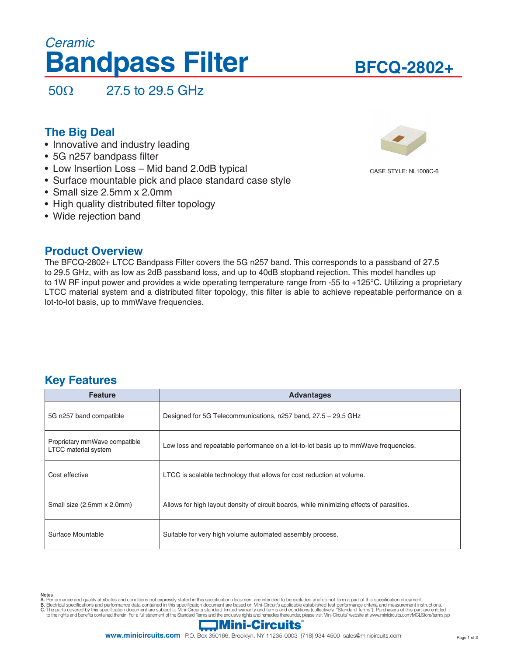# **Bandpass Filter** *Ceramic*

# **BFCQ-2802+**

50Ω 27.5 to 29.5 GHz

## **The Big Deal**

- Innovative and industry leading
- 5G n257 bandpass filter
- Low Insertion Loss Mid band 2.0dB typical
- Surface mountable pick and place standard case style
- Small size 2.5mm x 2.0mm
- High quality distributed filter topology
- Wide rejection band

### **Product Overview**

The BFCQ-2802+ LTCC Bandpass Filter covers the 5G n257 band. This corresponds to a passband of 27.5 to 29.5 GHz, with as low as 2dB passband loss, and up to 40dB stopband rejection. This model handles up to 1W RF input power and provides a wide operating temperature range from -55 to +125°C. Utilizing a proprietary LTCC material system and a distributed filter topology, this filter is able to achieve repeatable performance on a lot-to-lot basis, up to mmWave frequencies.

### **Key Features**

| <b>Feature</b>                                               | <b>Advantages</b>                                                                         |
|--------------------------------------------------------------|-------------------------------------------------------------------------------------------|
| 5G n257 band compatible                                      | Designed for 5G Telecommunications, n257 band, 27.5 - 29.5 GHz                            |
| Proprietary mmWave compatible<br><b>LTCC</b> material system | Low loss and repeatable performance on a lot-to-lot basis up to mmWave frequencies.       |
| Cost effective                                               | LTCC is scalable technology that allows for cost reduction at volume.                     |
| Small size (2.5mm x 2.0mm)                                   | Allows for high layout density of circuit boards, while minimizing effects of parasitics. |
| Surface Mountable                                            | Suitable for very high volume automated assembly process.                                 |



**Notes**<br>A. Performance and quality attributes and conditions not expressly stated in this specification document are intended to be excluded and do not form a part of this specification document.

- 
- B. Electrical specifications and performance data contained in this specification document are based on Mini-Circuit's applicable established test performance criteria and measurement instructions.<br>C. The parts covered by





CASE STYLE: NL1008C-6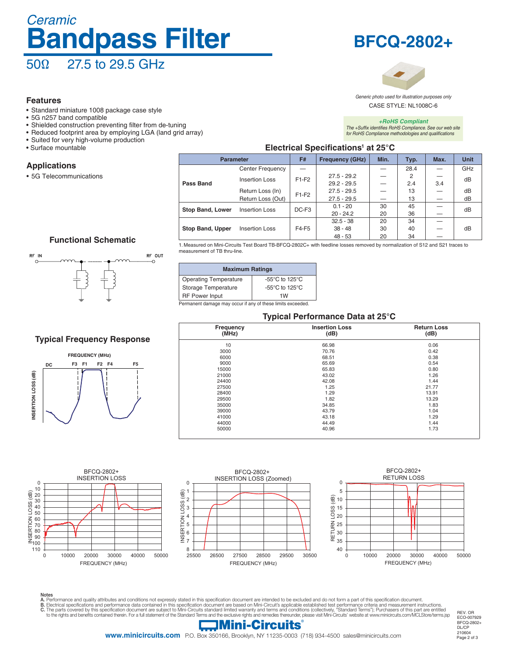# *Ceramic* 50Ω 27.5 to 29.5 GHz **Bandpass Filter**

#### **Features**

- Standard miniature 1008 package case style
- 5G n257 band compatible
- Shielded construction preventing filter from de-tuning
- Reduced footprint area by employing LGA (land grid array)
- Suited for very high-volume production
- Surface mountable

#### **Applications**

• 5G Telecommunications



**BFCQ-2802+**

CASE STYLE: NL1008C-6 *Generic photo used for illustration purposes only*

*+RoHS Compliant The +Suffix identifies RoHS Compliance. See our web site for RoHS Compliance methodologies and qualifications*

#### **Electrical Specifications<sup>1</sup> at 25°C**

| <b>Parameter</b>        |                   | F#                | Min.<br><b>Frequency (GHz)</b><br>Typ. |      | Max. | <b>Unit</b> |     |  |
|-------------------------|-------------------|-------------------|----------------------------------------|------|------|-------------|-----|--|
|                         | Center Frequency  |                   |                                        | 28.4 |      |             | GHz |  |
|                         | Insertion Loss    | $F1-F2$           | $27.5 - 29.2$                          |      | 2    |             | dB  |  |
| Pass Band               |                   |                   | $29.2 - 29.5$                          |      | 2.4  | 3.4         |     |  |
|                         | Return Loss (In)  | $F1-F2$           | $27.5 - 29.5$                          |      | 13   |             | dB  |  |
|                         | Return Loss (Out) |                   | $27.5 - 29.5$                          |      | 13   |             | dB  |  |
| <b>Stop Band, Lower</b> | Insertion Loss    | DC-F <sub>3</sub> | $0.1 - 20$                             | 30   | 45   |             | dB  |  |
|                         |                   |                   | $20 - 24.2$                            | 20   | 36   |             |     |  |
|                         |                   |                   | $32.5 - 38$                            | 20   | 34   |             |     |  |
| <b>Stop Band, Upper</b> | Insertion Loss    | F4-F5             | $38 - 48$                              | 30   | 40   |             | dB  |  |
|                         |                   |                   | $48 - 53$                              | 20   | 34   |             |     |  |

#### **Functional Schematic**



### **Typical Frequency Response**



1. Measured on Mini-Circuits Test Board TB-BFCQ-2802C+ with feedline losses removed by normalization of S12 and S21 traces to measurement of TB thru-line.

| <b>Maximum Ratings</b>                               |  |  |  |  |  |
|------------------------------------------------------|--|--|--|--|--|
| $-55^{\circ}$ C to 125 $^{\circ}$ C                  |  |  |  |  |  |
| -55 $\mathrm{^{\circ}C}$ to 125 $\mathrm{^{\circ}C}$ |  |  |  |  |  |
| 1W                                                   |  |  |  |  |  |
|                                                      |  |  |  |  |  |

Permanent damage may occur if any of these limits exceeded.

#### **Typical Performance Data at 25°C**

| . .                |                               |                            |  |  |
|--------------------|-------------------------------|----------------------------|--|--|
| Frequency<br>(MHz) | <b>Insertion Loss</b><br>(dB) | <b>Return Loss</b><br>(dB) |  |  |
| 10                 | 66.98                         | 0.06                       |  |  |
| 3000               | 70.76                         | 0.42                       |  |  |
| 6000               | 68.51                         | 0.38                       |  |  |
| 9000               | 65.69                         | 0.54                       |  |  |
| 15000              | 65.83                         | 0.80                       |  |  |
| 21000              | 43.02                         | 1.26                       |  |  |
| 24400              | 42.08                         | 1.44                       |  |  |
| 27500              | 1.25                          | 21.77                      |  |  |
| 28400              | 1.29                          | 13.91                      |  |  |
| 29500              | 1.82                          | 13.29                      |  |  |
| 35000              | 34.85                         | 1.83                       |  |  |
| 39000              | 43.79                         | 1.04                       |  |  |
| 41000              | 43.18                         | 1.29                       |  |  |
| 44000              | 44.49                         | 1.44                       |  |  |
| 50000              | 40.96                         | 1.73                       |  |  |
|                    |                               |                            |  |  |



Notes<br>A. Performance and quality attributes and conditions not expressly stated in this specification document are intended to be excluded and do not form a part of this specification document.<br>B. Electrical specifications

 $\Box$ Mini-Circuits

REV. OR ECO-007929 BFCQ-2802+ DL/CP 210604